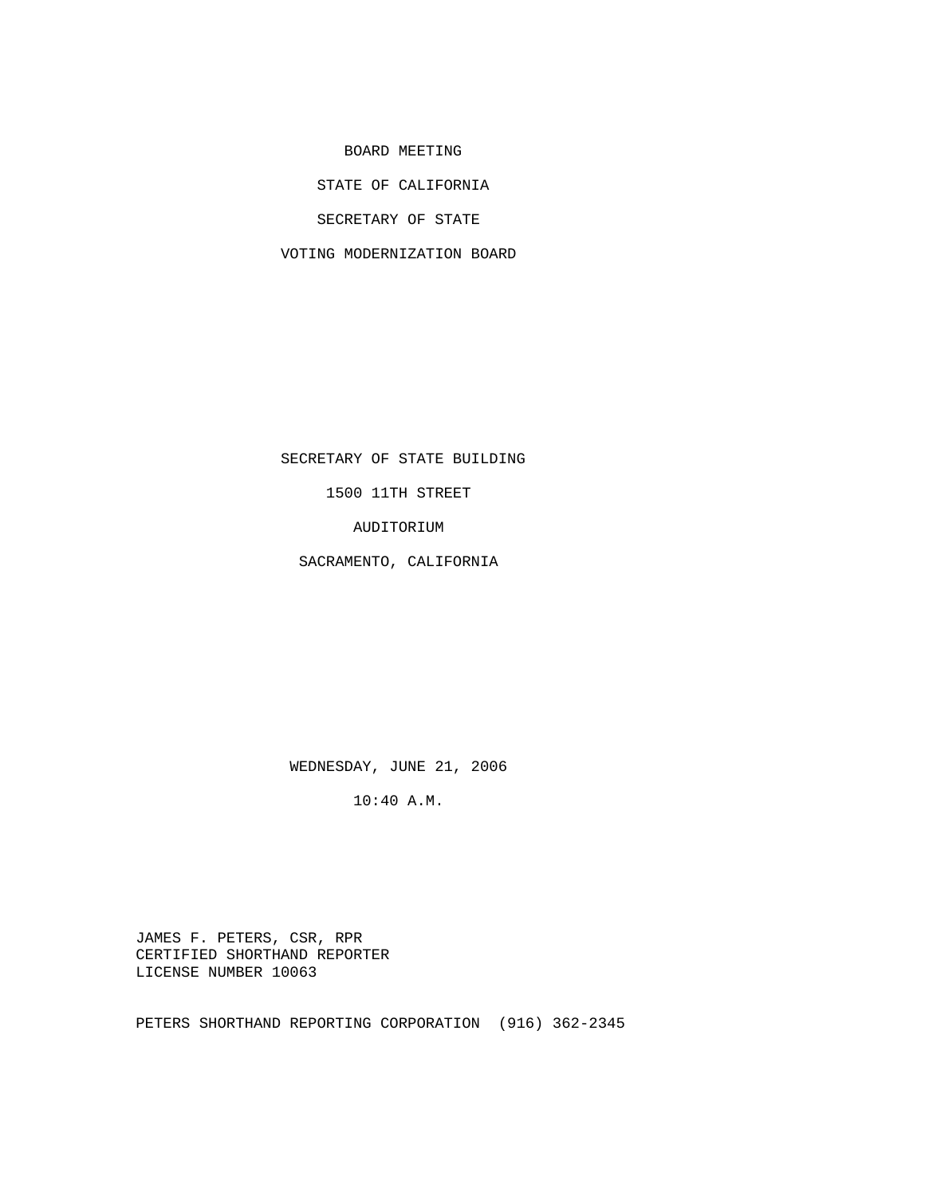BOARD MEETING

STATE OF CALIFORNIA

SECRETARY OF STATE

VOTING MODERNIZATION BOARD

SECRETARY OF STATE BUILDING

1500 11TH STREET

AUDITORIUM

SACRAMENTO, CALIFORNIA

WEDNESDAY, JUNE 21, 2006

10:40 A.M.

 JAMES F. PETERS, CSR, RPR CERTIFIED SHORTHAND REPORTER LICENSE NUMBER 10063

PETERS SHORTHAND REPORTING CORPORATION (916) 362-2345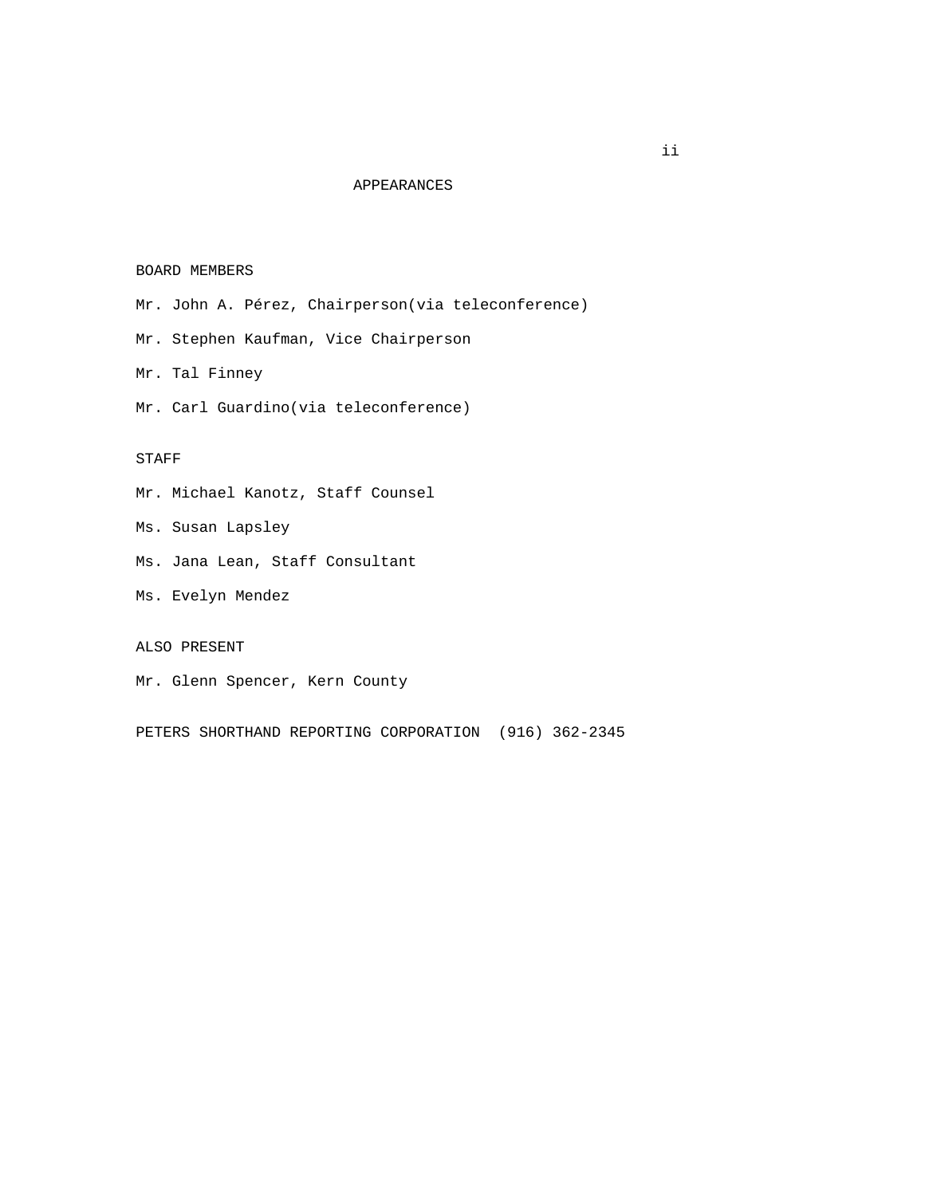# APPEARANCES

#### BOARD MEMBERS

- Mr. John A. Pérez, Chairperson(via teleconference)
- Mr. Stephen Kaufman, Vice Chairperson
- Mr. Tal Finney
- Mr. Carl Guardino(via teleconference)

### STAFF

- Mr. Michael Kanotz, Staff Counsel
- Ms. Susan Lapsley
- Ms. Jana Lean, Staff Consultant
- Ms. Evelyn Mendez

# ALSO PRESENT

Mr. Glenn Spencer, Kern County

PETERS SHORTHAND REPORTING CORPORATION (916) 362-2345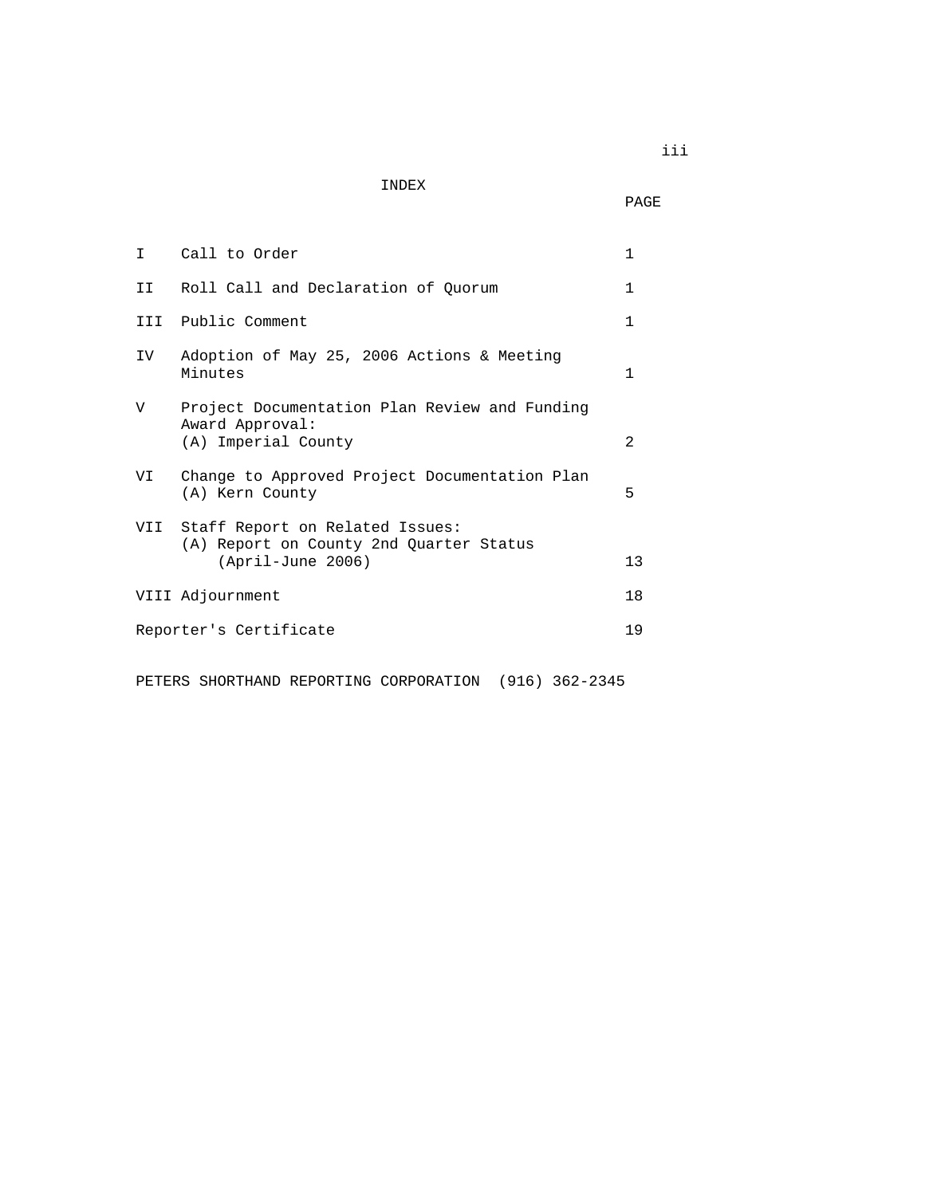INDEX

**PAGE** 

| T.   | Call to Order                                                                                         | 1              |
|------|-------------------------------------------------------------------------------------------------------|----------------|
| II — | Roll Call and Declaration of Quorum                                                                   | 1              |
|      | III Public Comment                                                                                    | 1              |
| IV   | Adoption of May 25, 2006 Actions & Meeting<br>Minutes                                                 | $\mathbf{1}$   |
| V    | Project Documentation Plan Review and Funding<br>Award Approval:<br>(A) Imperial County               | $\mathfrak{D}$ |
| VI   | Change to Approved Project Documentation Plan<br>(A) Kern County                                      | 5              |
|      | VII Staff Report on Related Issues:<br>(A) Report on County 2nd Quarter Status<br>$(April-June 2006)$ | 13             |
|      | VIII Adjournment                                                                                      | 18             |
|      | Reporter's Certificate                                                                                | 19             |
|      |                                                                                                       |                |

PETERS SHORTHAND REPORTING CORPORATION (916) 362-2345

iii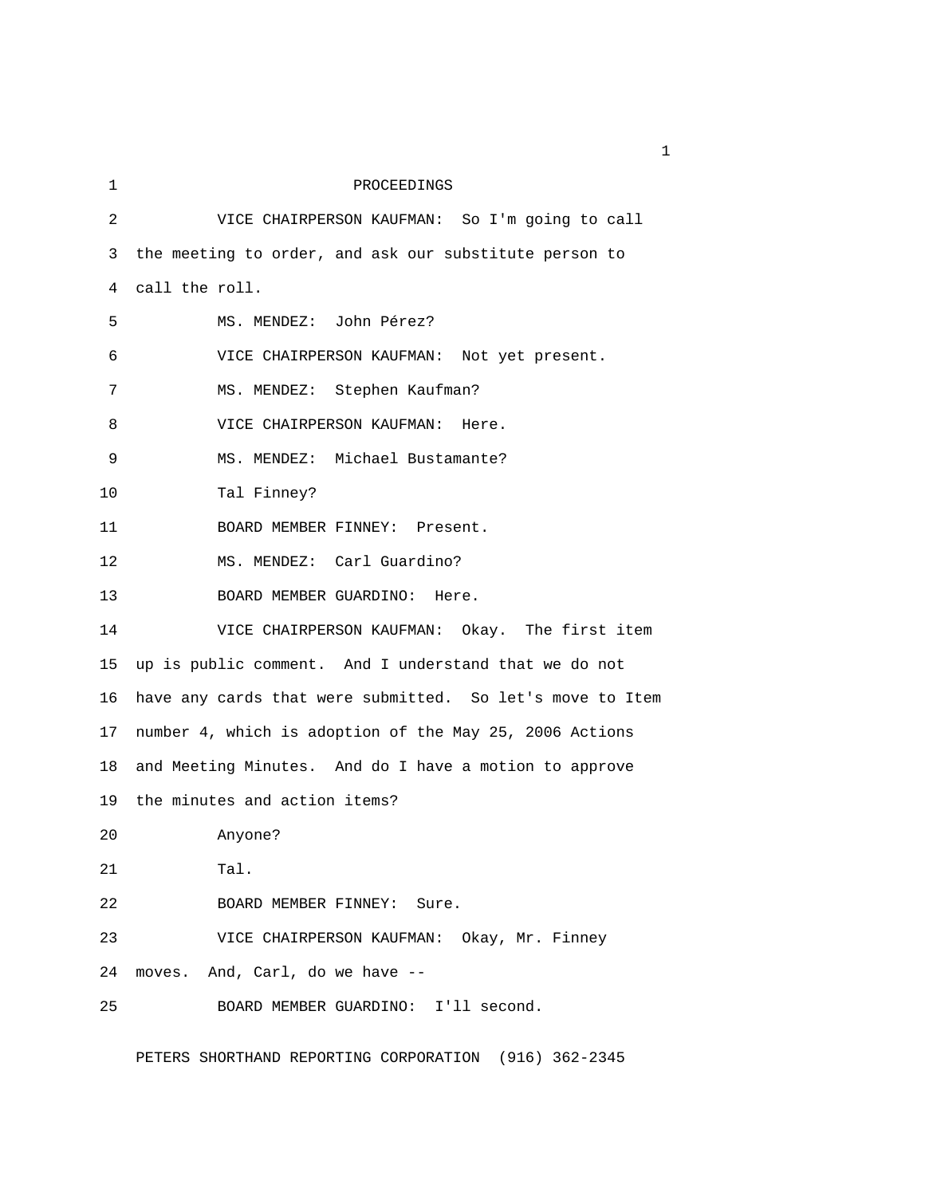1 PROCEEDINGS 2 VICE CHAIRPERSON KAUFMAN: So I'm going to call 3 the meeting to order, and ask our substitute person to 4 call the roll. 5 MS. MENDEZ: John Pérez? 6 VICE CHAIRPERSON KAUFMAN: Not yet present. 7 MS. MENDEZ: Stephen Kaufman? 8 VICE CHAIRPERSON KAUFMAN: Here. 9 MS. MENDEZ: Michael Bustamante? 10 Tal Finney? 11 BOARD MEMBER FINNEY: Present. 12 MS. MENDEZ: Carl Guardino? 13 BOARD MEMBER GUARDINO: Here. 14 VICE CHAIRPERSON KAUFMAN: Okay. The first item 15 up is public comment. And I understand that we do not 16 have any cards that were submitted. So let's move to Item 17 number 4, which is adoption of the May 25, 2006 Actions 18 and Meeting Minutes. And do I have a motion to approve 19 the minutes and action items? 20 Anyone? 21 Tal. 22 BOARD MEMBER FINNEY: Sure. 23 VICE CHAIRPERSON KAUFMAN: Okay, Mr. Finney 24 moves. And, Carl, do we have -- 25 BOARD MEMBER GUARDINO: I'll second.

PETERS SHORTHAND REPORTING CORPORATION (916) 362-2345

 $1<sub>1</sub>$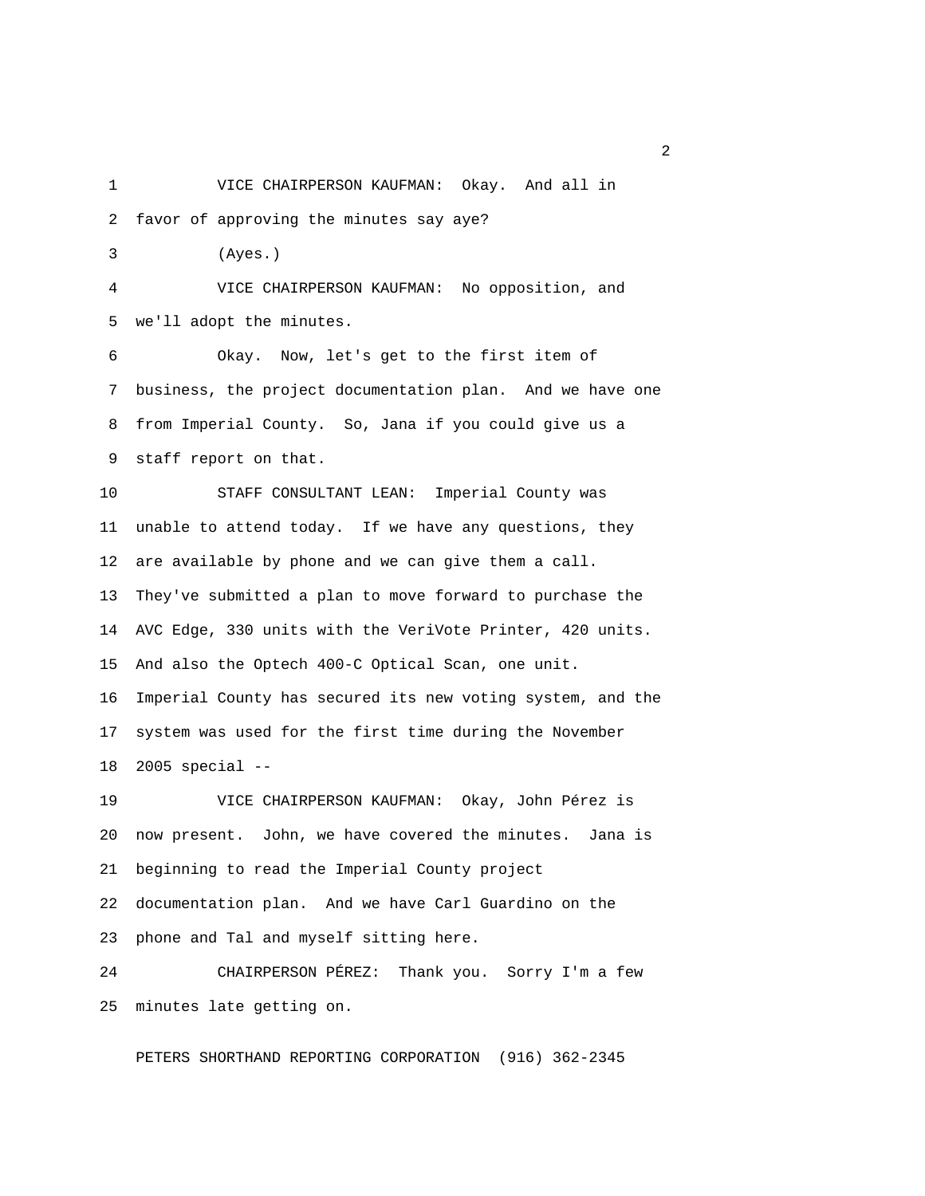1 VICE CHAIRPERSON KAUFMAN: Okay. And all in

2 favor of approving the minutes say aye?

3 (Ayes.)

 4 VICE CHAIRPERSON KAUFMAN: No opposition, and 5 we'll adopt the minutes.

 6 Okay. Now, let's get to the first item of 7 business, the project documentation plan. And we have one 8 from Imperial County. So, Jana if you could give us a 9 staff report on that.

10 STAFF CONSULTANT LEAN: Imperial County was 11 unable to attend today. If we have any questions, they 12 are available by phone and we can give them a call. 13 They've submitted a plan to move forward to purchase the 14 AVC Edge, 330 units with the VeriVote Printer, 420 units. 15 And also the Optech 400-C Optical Scan, one unit. 16 Imperial County has secured its new voting system, and the 17 system was used for the first time during the November 18 2005 special --

19 VICE CHAIRPERSON KAUFMAN: Okay, John Pérez is 20 now present. John, we have covered the minutes. Jana is 21 beginning to read the Imperial County project 22 documentation plan. And we have Carl Guardino on the 23 phone and Tal and myself sitting here.

24 CHAIRPERSON PÉREZ: Thank you. Sorry I'm a few 25 minutes late getting on.

PETERS SHORTHAND REPORTING CORPORATION (916) 362-2345

 $\overline{2}$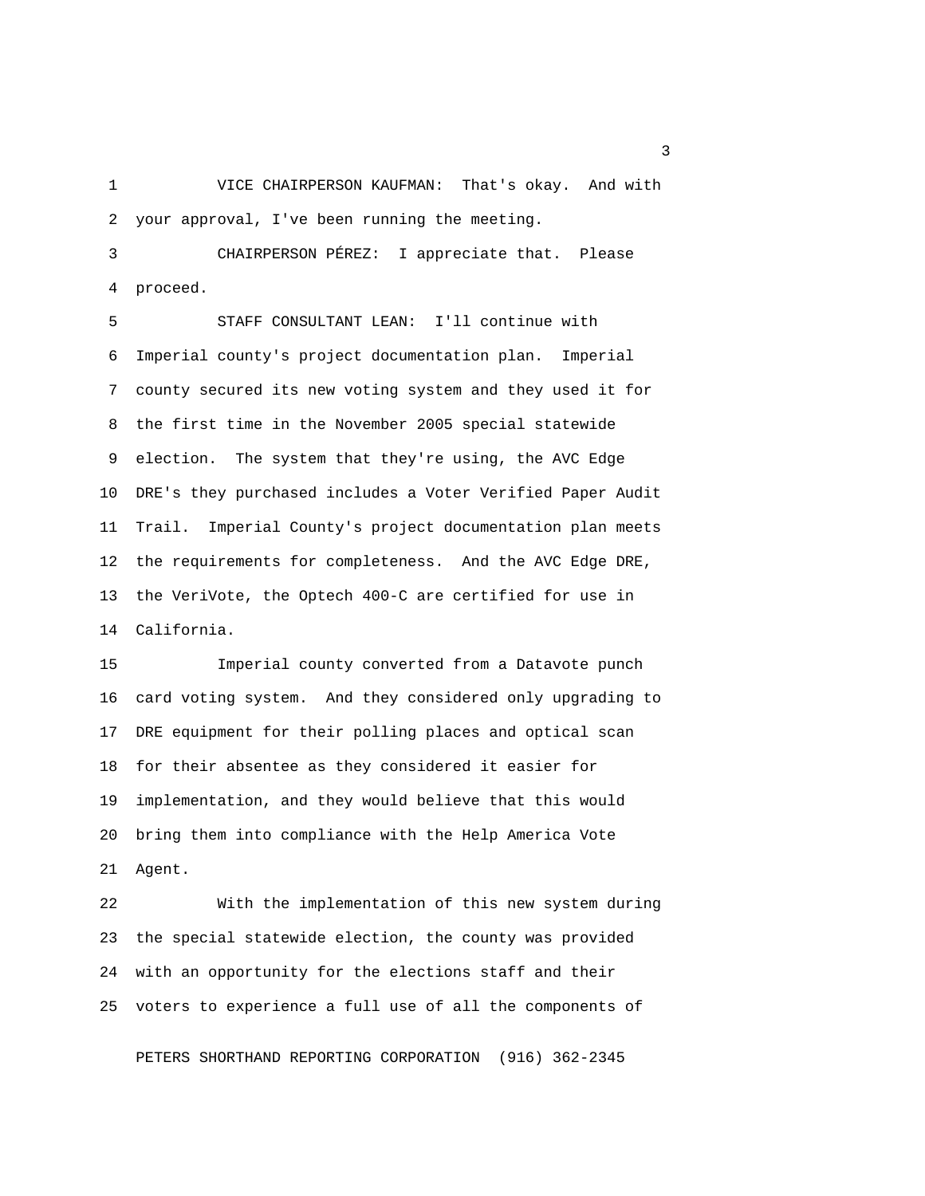1 VICE CHAIRPERSON KAUFMAN: That's okay. And with 2 your approval, I've been running the meeting.

 3 CHAIRPERSON PÉREZ: I appreciate that. Please 4 proceed.

 5 STAFF CONSULTANT LEAN: I'll continue with 6 Imperial county's project documentation plan. Imperial 7 county secured its new voting system and they used it for 8 the first time in the November 2005 special statewide 9 election. The system that they're using, the AVC Edge 10 DRE's they purchased includes a Voter Verified Paper Audit 11 Trail. Imperial County's project documentation plan meets 12 the requirements for completeness. And the AVC Edge DRE, 13 the VeriVote, the Optech 400-C are certified for use in 14 California.

15 Imperial county converted from a Datavote punch 16 card voting system. And they considered only upgrading to 17 DRE equipment for their polling places and optical scan 18 for their absentee as they considered it easier for 19 implementation, and they would believe that this would 20 bring them into compliance with the Help America Vote 21 Agent.

22 With the implementation of this new system during 23 the special statewide election, the county was provided 24 with an opportunity for the elections staff and their 25 voters to experience a full use of all the components of

PETERS SHORTHAND REPORTING CORPORATION (916) 362-2345

 $\sim$  3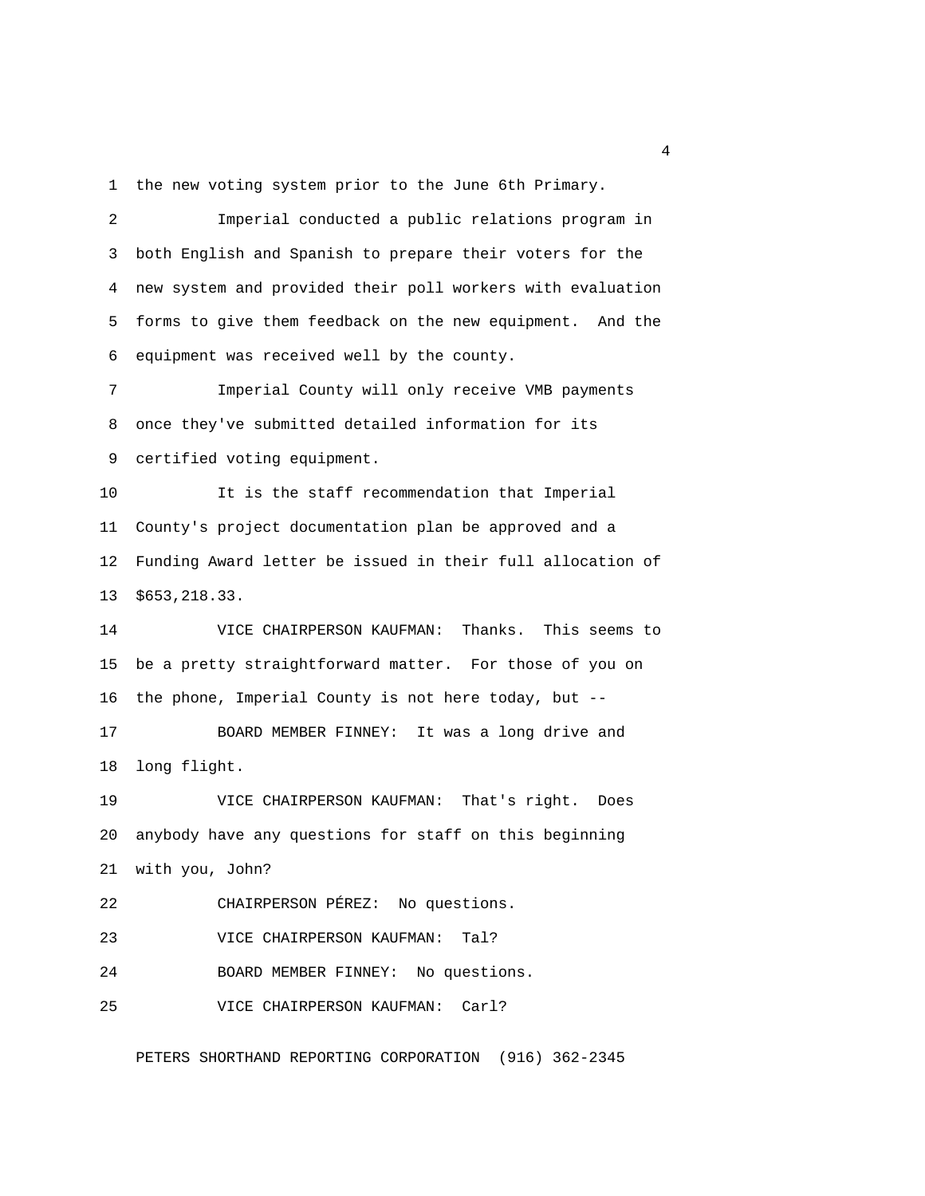1 the new voting system prior to the June 6th Primary.

 2 Imperial conducted a public relations program in 3 both English and Spanish to prepare their voters for the 4 new system and provided their poll workers with evaluation 5 forms to give them feedback on the new equipment. And the 6 equipment was received well by the county. 7 Imperial County will only receive VMB payments 8 once they've submitted detailed information for its 9 certified voting equipment. 10 It is the staff recommendation that Imperial 11 County's project documentation plan be approved and a 12 Funding Award letter be issued in their full allocation of 13 \$653,218.33. 14 VICE CHAIRPERSON KAUFMAN: Thanks. This seems to 15 be a pretty straightforward matter. For those of you on 16 the phone, Imperial County is not here today, but -- 17 BOARD MEMBER FINNEY: It was a long drive and 18 long flight. 19 VICE CHAIRPERSON KAUFMAN: That's right. Does 20 anybody have any questions for staff on this beginning 21 with you, John? 22 CHAIRPERSON PÉREZ: No questions. 23 VICE CHAIRPERSON KAUFMAN: Tal? 24 BOARD MEMBER FINNEY: No questions. 25 VICE CHAIRPERSON KAUFMAN: Carl?

PETERS SHORTHAND REPORTING CORPORATION (916) 362-2345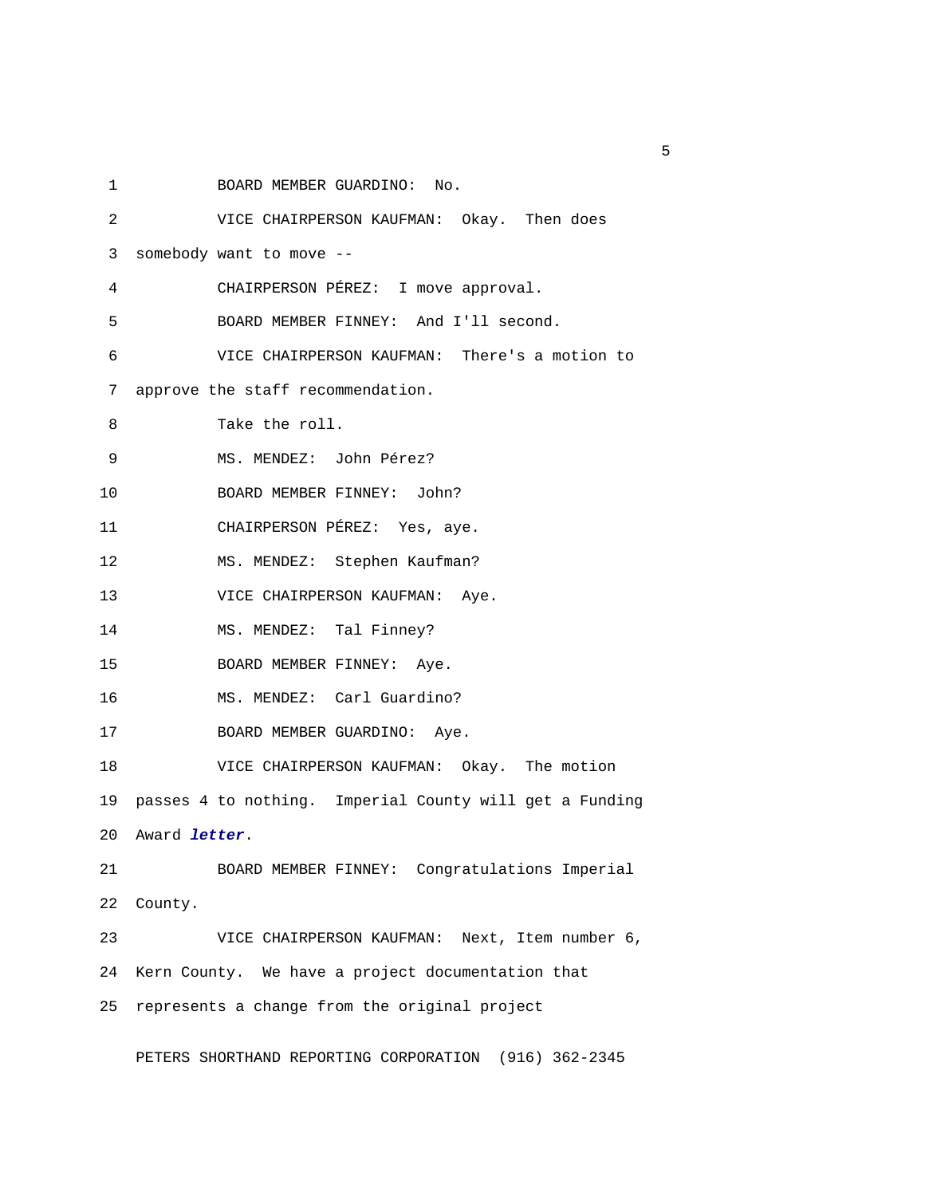1 BOARD MEMBER GUARDINO: No.

| 2  | VICE CHAIRPERSON KAUFMAN: Okay. Then does                  |
|----|------------------------------------------------------------|
| 3  | somebody want to move --                                   |
| 4  | CHAIRPERSON PÉREZ: I move approval.                        |
| 5  | BOARD MEMBER FINNEY: And I'll second.                      |
| 6  | VICE CHAIRPERSON KAUFMAN: There's a motion to              |
| 7  | approve the staff recommendation.                          |
| 8  | Take the roll.                                             |
| 9  | MS. MENDEZ: John Pérez?                                    |
| 10 | BOARD MEMBER FINNEY: John?                                 |
| 11 | CHAIRPERSON PÉREZ: Yes, aye.                               |
| 12 | MS. MENDEZ: Stephen Kaufman?                               |
| 13 | VICE CHAIRPERSON KAUFMAN: Aye.                             |
| 14 | MS. MENDEZ: Tal Finney?                                    |
| 15 | BOARD MEMBER FINNEY: Aye.                                  |
| 16 | MS. MENDEZ: Carl Guardino?                                 |
| 17 | BOARD MEMBER GUARDINO: Aye.                                |
| 18 | VICE CHAIRPERSON KAUFMAN: Okay. The motion                 |
|    | 19 passes 4 to nothing. Imperial County will get a Funding |
|    | 20 Award letter.                                           |
| 21 | BOARD MEMBER FINNEY: Congratulations Imperial              |
| 22 | County.                                                    |
| 23 | VICE CHAIRPERSON KAUFMAN: Next, Item number 6,             |
| 24 | Kern County. We have a project documentation that          |
| 25 | represents a change from the original project              |

PETERS SHORTHAND REPORTING CORPORATION (916) 362-2345

 $\sim$  5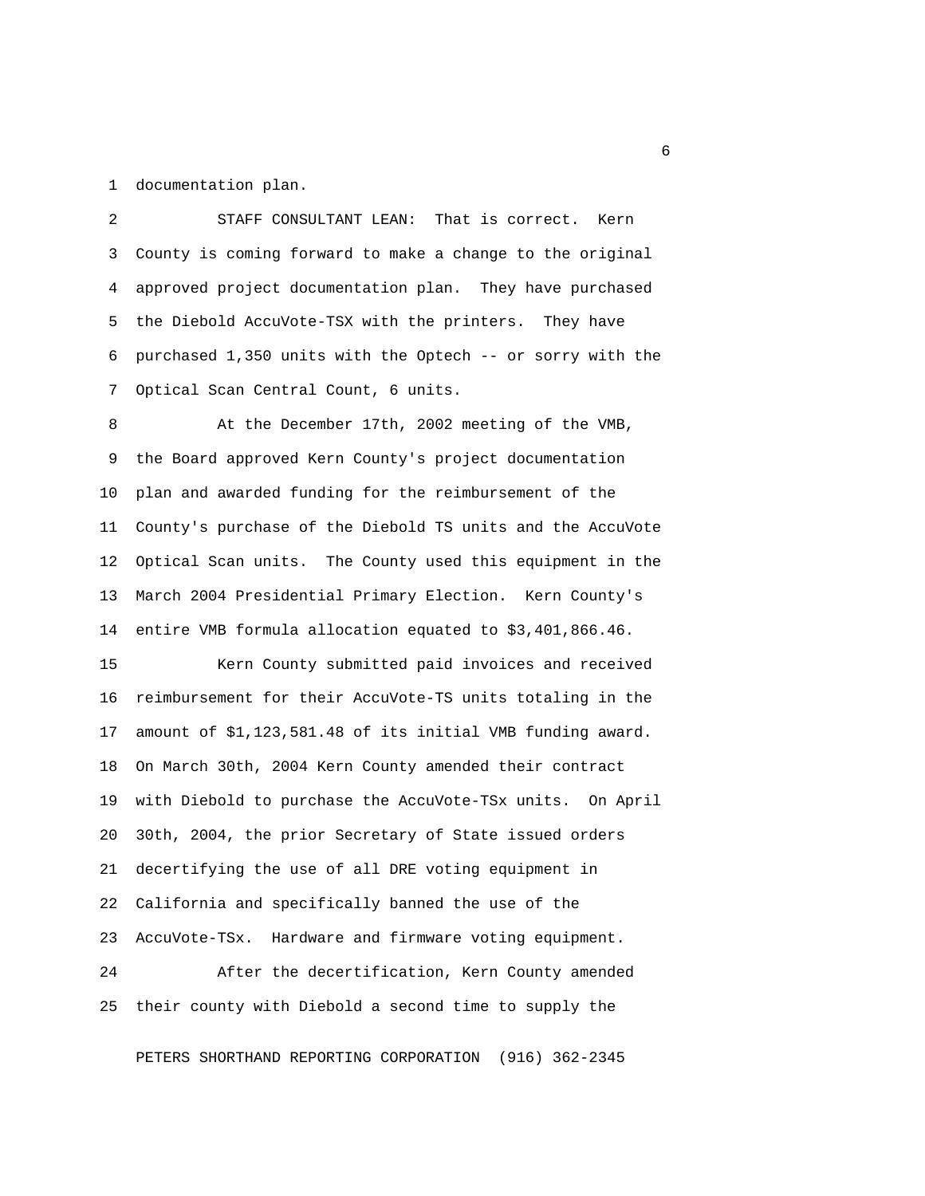1 documentation plan.

 2 STAFF CONSULTANT LEAN: That is correct. Kern 3 County is coming forward to make a change to the original 4 approved project documentation plan. They have purchased 5 the Diebold AccuVote-TSX with the printers. They have 6 purchased 1,350 units with the Optech -- or sorry with the 7 Optical Scan Central Count, 6 units.

 8 At the December 17th, 2002 meeting of the VMB, 9 the Board approved Kern County's project documentation 10 plan and awarded funding for the reimbursement of the 11 County's purchase of the Diebold TS units and the AccuVote 12 Optical Scan units. The County used this equipment in the 13 March 2004 Presidential Primary Election. Kern County's 14 entire VMB formula allocation equated to \$3,401,866.46.

15 Kern County submitted paid invoices and received 16 reimbursement for their AccuVote-TS units totaling in the 17 amount of \$1,123,581.48 of its initial VMB funding award. 18 On March 30th, 2004 Kern County amended their contract 19 with Diebold to purchase the AccuVote-TSx units. On April 20 30th, 2004, the prior Secretary of State issued orders 21 decertifying the use of all DRE voting equipment in 22 California and specifically banned the use of the 23 AccuVote-TSx. Hardware and firmware voting equipment. 24 After the decertification, Kern County amended 25 their county with Diebold a second time to supply the

PETERS SHORTHAND REPORTING CORPORATION (916) 362-2345

 $\sim$  6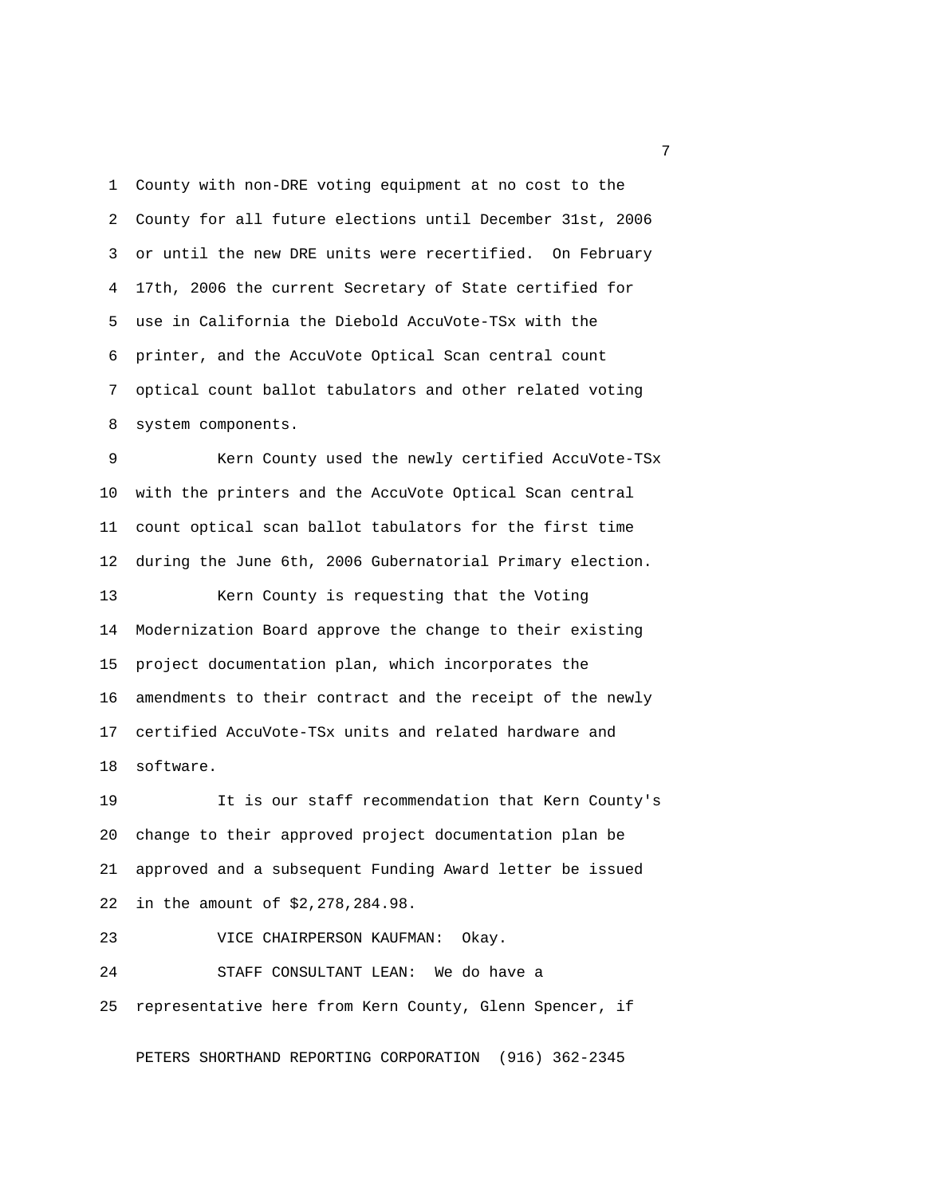1 County with non-DRE voting equipment at no cost to the 2 County for all future elections until December 31st, 2006 3 or until the new DRE units were recertified. On February 4 17th, 2006 the current Secretary of State certified for 5 use in California the Diebold AccuVote-TSx with the 6 printer, and the AccuVote Optical Scan central count 7 optical count ballot tabulators and other related voting 8 system components.

 9 Kern County used the newly certified AccuVote-TSx 10 with the printers and the AccuVote Optical Scan central 11 count optical scan ballot tabulators for the first time 12 during the June 6th, 2006 Gubernatorial Primary election. 13 Kern County is requesting that the Voting 14 Modernization Board approve the change to their existing 15 project documentation plan, which incorporates the 16 amendments to their contract and the receipt of the newly 17 certified AccuVote-TSx units and related hardware and 18 software.

19 It is our staff recommendation that Kern County's 20 change to their approved project documentation plan be 21 approved and a subsequent Funding Award letter be issued 22 in the amount of \$2,278,284.98.

# 23 VICE CHAIRPERSON KAUFMAN: Okay.

24 STAFF CONSULTANT LEAN: We do have a 25 representative here from Kern County, Glenn Spencer, if

PETERS SHORTHAND REPORTING CORPORATION (916) 362-2345

<u>2</u> The contract of the contract of the contract of the contract of the contract of the contract of the contract of the contract of the contract of the contract of the contract of the contract of the contract of the contra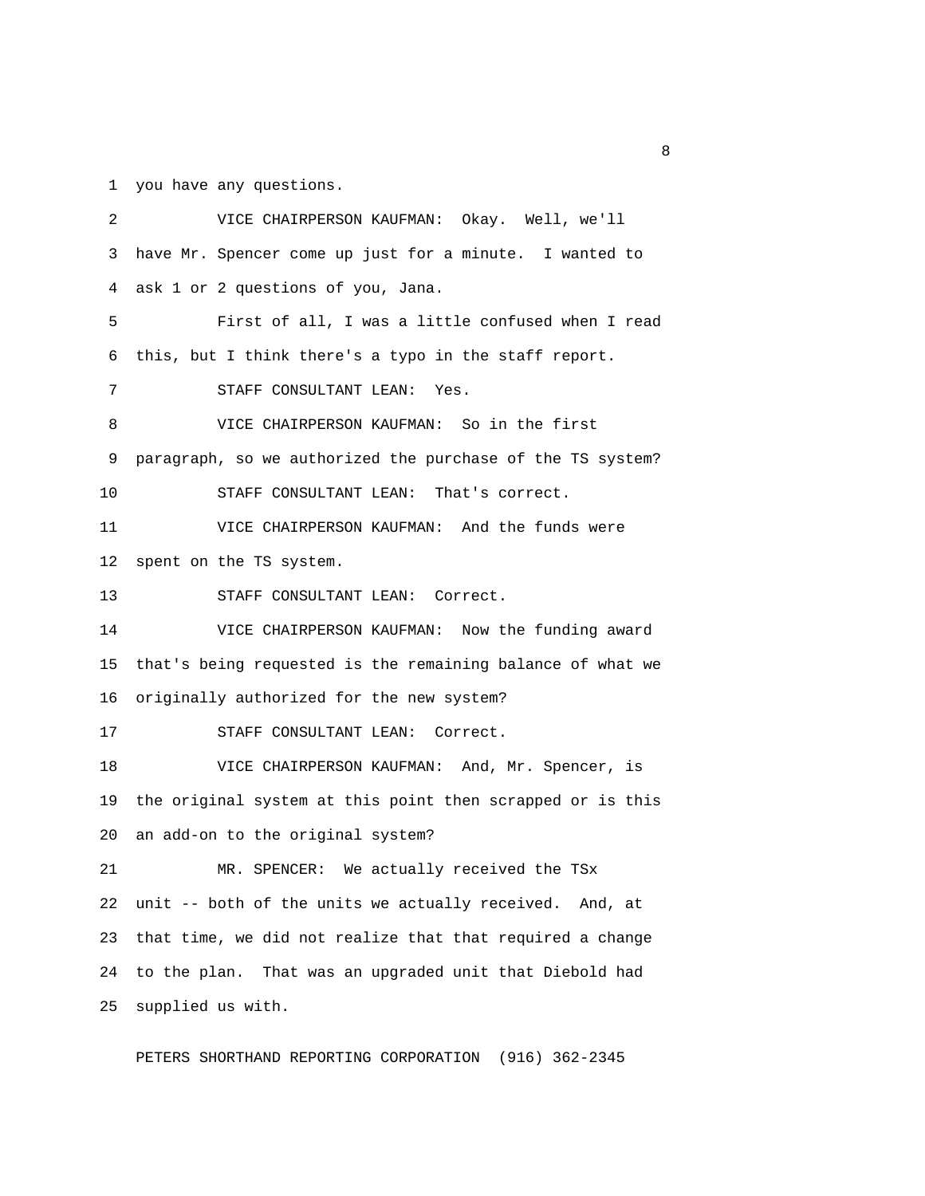1 you have any questions.

 2 VICE CHAIRPERSON KAUFMAN: Okay. Well, we'll 3 have Mr. Spencer come up just for a minute. I wanted to 4 ask 1 or 2 questions of you, Jana. 5 First of all, I was a little confused when I read 6 this, but I think there's a typo in the staff report. 7 STAFF CONSULTANT LEAN: Yes. 8 VICE CHAIRPERSON KAUFMAN: So in the first 9 paragraph, so we authorized the purchase of the TS system? 10 STAFF CONSULTANT LEAN: That's correct. 11 VICE CHAIRPERSON KAUFMAN: And the funds were 12 spent on the TS system. 13 STAFF CONSULTANT LEAN: Correct. 14 VICE CHAIRPERSON KAUFMAN: Now the funding award 15 that's being requested is the remaining balance of what we 16 originally authorized for the new system? 17 STAFF CONSULTANT LEAN: Correct. 18 VICE CHAIRPERSON KAUFMAN: And, Mr. Spencer, is 19 the original system at this point then scrapped or is this 20 an add-on to the original system? 21 MR. SPENCER: We actually received the TSx 22 unit -- both of the units we actually received. And, at 23 that time, we did not realize that that required a change 24 to the plan. That was an upgraded unit that Diebold had 25 supplied us with.

PETERS SHORTHAND REPORTING CORPORATION (916) 362-2345

experience of the state of the state of the state of the state of the state of the state of the state of the s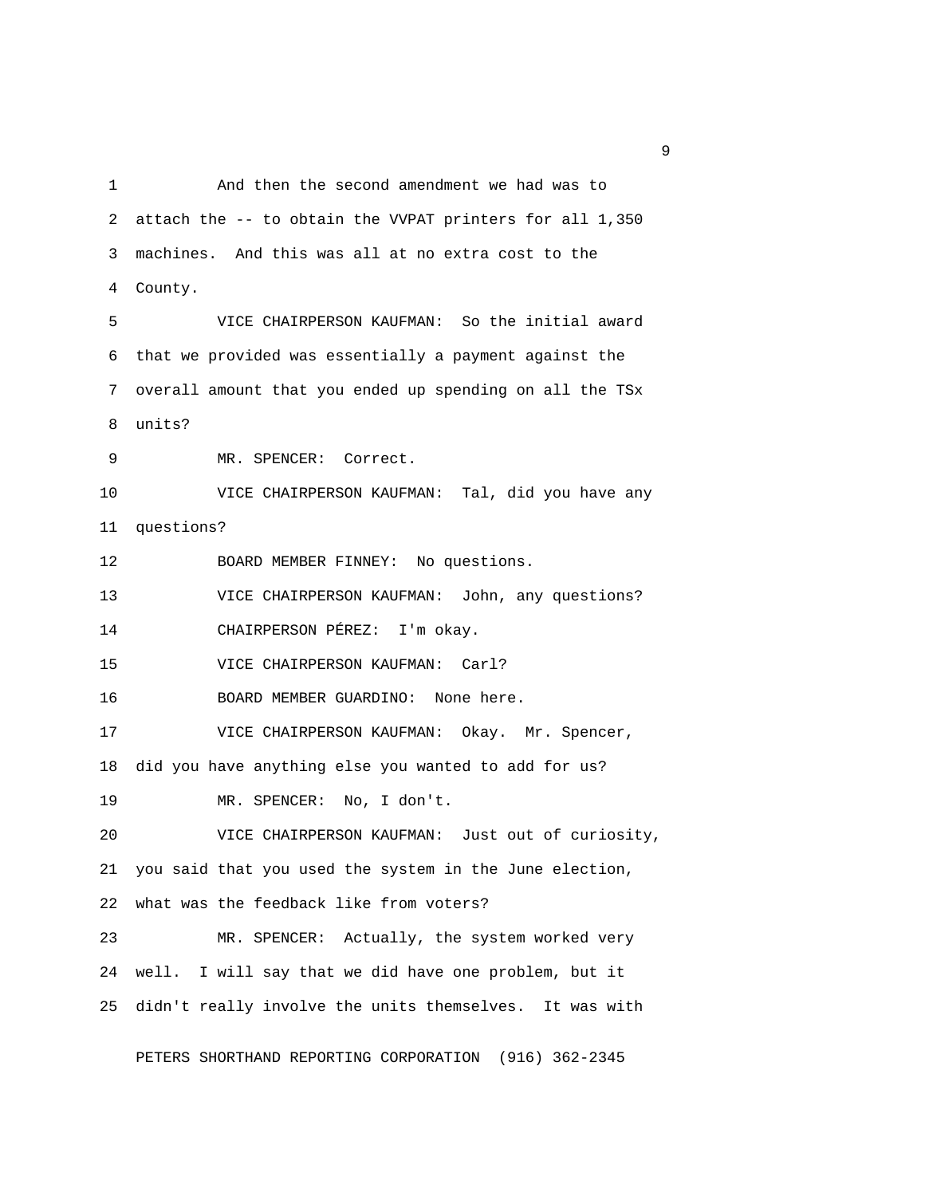1 And then the second amendment we had was to 2 attach the -- to obtain the VVPAT printers for all 1,350 3 machines. And this was all at no extra cost to the 4 County. 5 VICE CHAIRPERSON KAUFMAN: So the initial award 6 that we provided was essentially a payment against the 7 overall amount that you ended up spending on all the TSx 8 units? 9 MR. SPENCER: Correct. 10 VICE CHAIRPERSON KAUFMAN: Tal, did you have any 11 questions? 12 BOARD MEMBER FINNEY: No questions. 13 VICE CHAIRPERSON KAUFMAN: John, any questions? 14 CHAIRPERSON PÉREZ: I'm okay. 15 VICE CHAIRPERSON KAUFMAN: Carl? 16 BOARD MEMBER GUARDINO: None here. 17 VICE CHAIRPERSON KAUFMAN: Okay. Mr. Spencer, 18 did you have anything else you wanted to add for us? 19 MR. SPENCER: No, I don't. 20 VICE CHAIRPERSON KAUFMAN: Just out of curiosity, 21 you said that you used the system in the June election, 22 what was the feedback like from voters? 23 MR. SPENCER: Actually, the system worked very 24 well. I will say that we did have one problem, but it 25 didn't really involve the units themselves. It was with

PETERS SHORTHAND REPORTING CORPORATION (916) 362-2345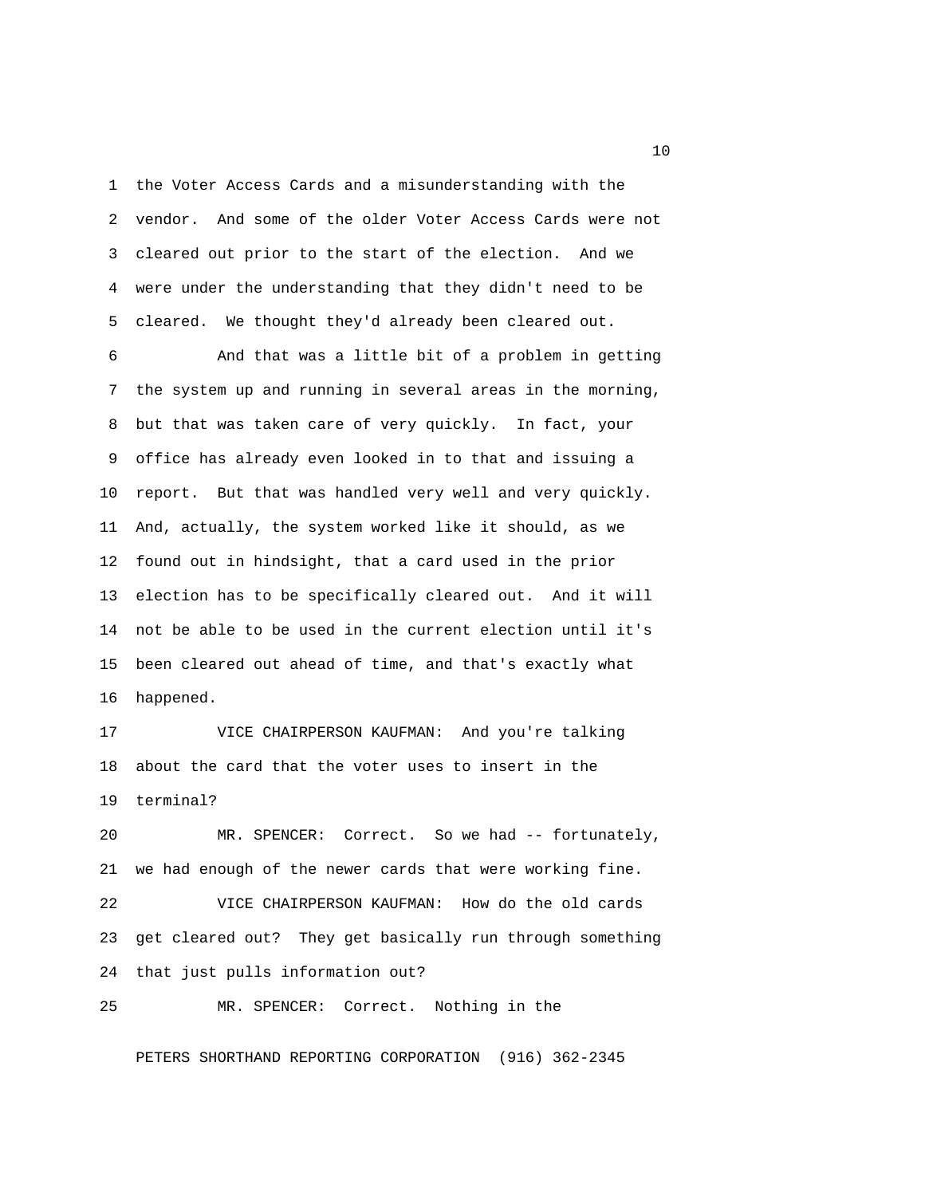1 the Voter Access Cards and a misunderstanding with the 2 vendor. And some of the older Voter Access Cards were not 3 cleared out prior to the start of the election. And we 4 were under the understanding that they didn't need to be 5 cleared. We thought they'd already been cleared out.

 6 And that was a little bit of a problem in getting 7 the system up and running in several areas in the morning, 8 but that was taken care of very quickly. In fact, your 9 office has already even looked in to that and issuing a 10 report. But that was handled very well and very quickly. 11 And, actually, the system worked like it should, as we 12 found out in hindsight, that a card used in the prior 13 election has to be specifically cleared out. And it will 14 not be able to be used in the current election until it's 15 been cleared out ahead of time, and that's exactly what 16 happened.

17 VICE CHAIRPERSON KAUFMAN: And you're talking 18 about the card that the voter uses to insert in the 19 terminal?

20 MR. SPENCER: Correct. So we had -- fortunately, 21 we had enough of the newer cards that were working fine. 22 VICE CHAIRPERSON KAUFMAN: How do the old cards 23 get cleared out? They get basically run through something 24 that just pulls information out?

25 MR. SPENCER: Correct. Nothing in the

PETERS SHORTHAND REPORTING CORPORATION (916) 362-2345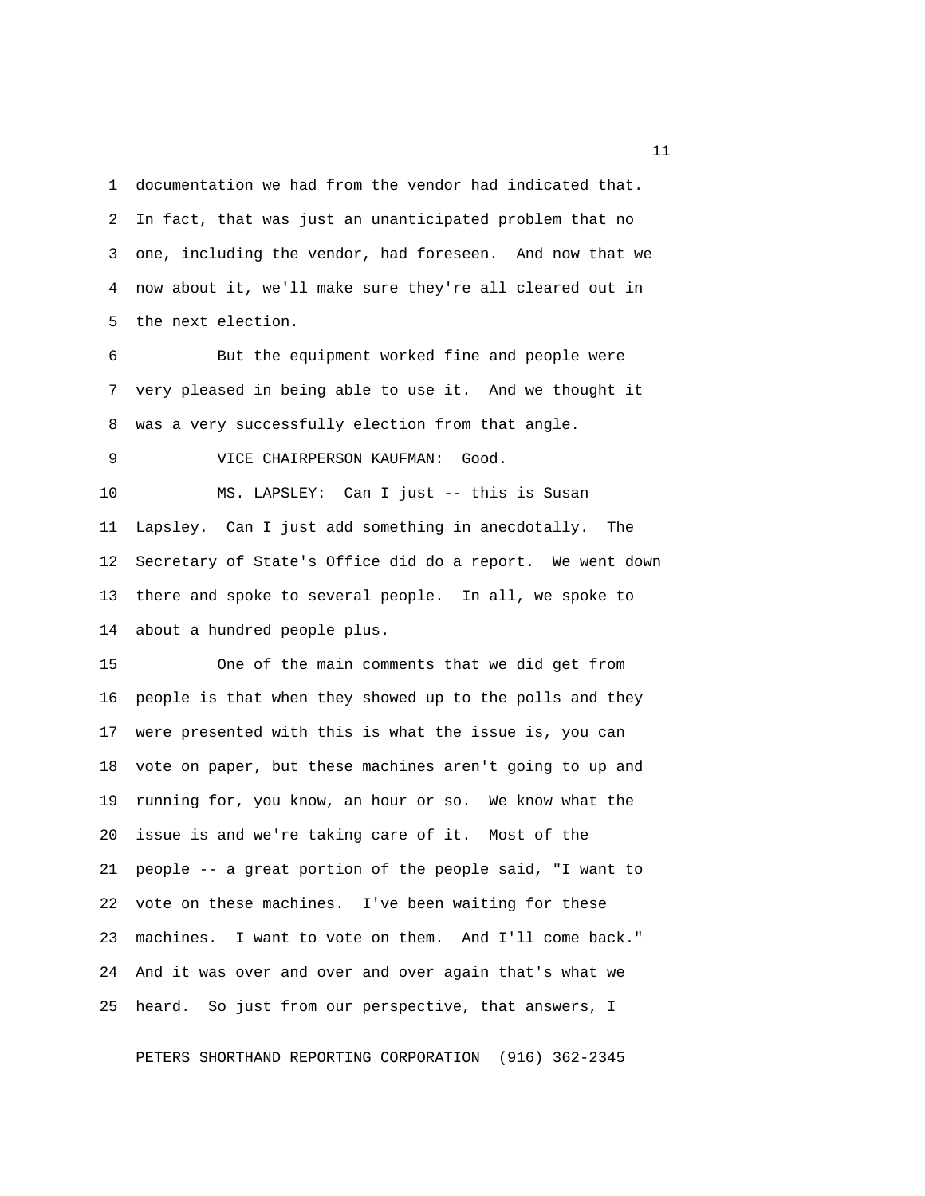1 documentation we had from the vendor had indicated that. 2 In fact, that was just an unanticipated problem that no 3 one, including the vendor, had foreseen. And now that we 4 now about it, we'll make sure they're all cleared out in 5 the next election.

 6 But the equipment worked fine and people were 7 very pleased in being able to use it. And we thought it 8 was a very successfully election from that angle.

9 VICE CHAIRPERSON KAUFMAN: Good.

10 MS. LAPSLEY: Can I just -- this is Susan 11 Lapsley. Can I just add something in anecdotally. The 12 Secretary of State's Office did do a report. We went down 13 there and spoke to several people. In all, we spoke to 14 about a hundred people plus.

15 One of the main comments that we did get from 16 people is that when they showed up to the polls and they 17 were presented with this is what the issue is, you can 18 vote on paper, but these machines aren't going to up and 19 running for, you know, an hour or so. We know what the 20 issue is and we're taking care of it. Most of the 21 people -- a great portion of the people said, "I want to 22 vote on these machines. I've been waiting for these 23 machines. I want to vote on them. And I'll come back." 24 And it was over and over and over again that's what we 25 heard. So just from our perspective, that answers, I

PETERS SHORTHAND REPORTING CORPORATION (916) 362-2345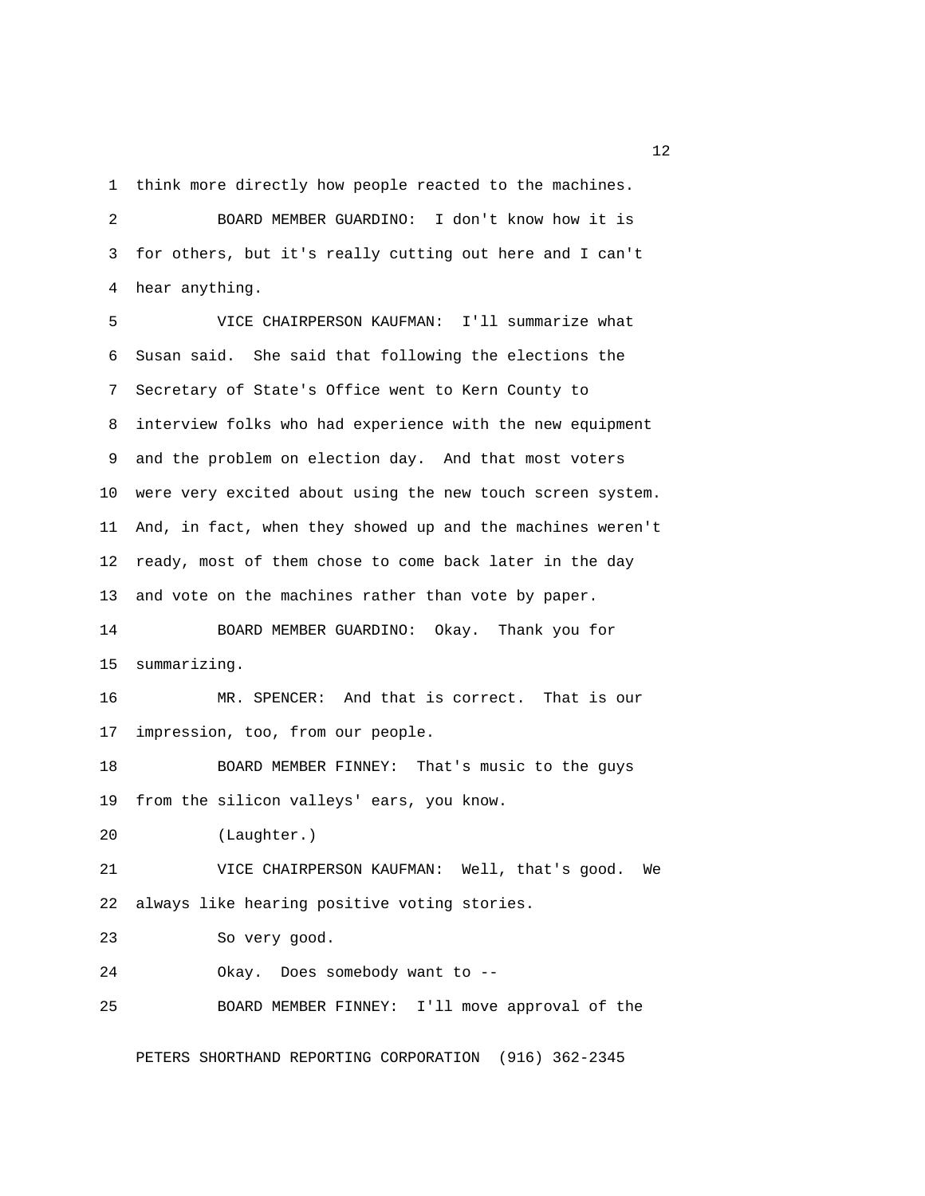1 think more directly how people reacted to the machines.

 2 BOARD MEMBER GUARDINO: I don't know how it is 3 for others, but it's really cutting out here and I can't 4 hear anything.

 5 VICE CHAIRPERSON KAUFMAN: I'll summarize what 6 Susan said. She said that following the elections the 7 Secretary of State's Office went to Kern County to 8 interview folks who had experience with the new equipment 9 and the problem on election day. And that most voters 10 were very excited about using the new touch screen system. 11 And, in fact, when they showed up and the machines weren't 12 ready, most of them chose to come back later in the day 13 and vote on the machines rather than vote by paper. 14 BOARD MEMBER GUARDINO: Okay. Thank you for 15 summarizing. 16 MR. SPENCER: And that is correct. That is our 17 impression, too, from our people. 18 BOARD MEMBER FINNEY: That's music to the guys 19 from the silicon valleys' ears, you know. 20 (Laughter.) 21 VICE CHAIRPERSON KAUFMAN: Well, that's good. We 22 always like hearing positive voting stories. 23 So very good. 24 Okay. Does somebody want to -- 25 BOARD MEMBER FINNEY: I'll move approval of the PETERS SHORTHAND REPORTING CORPORATION (916) 362-2345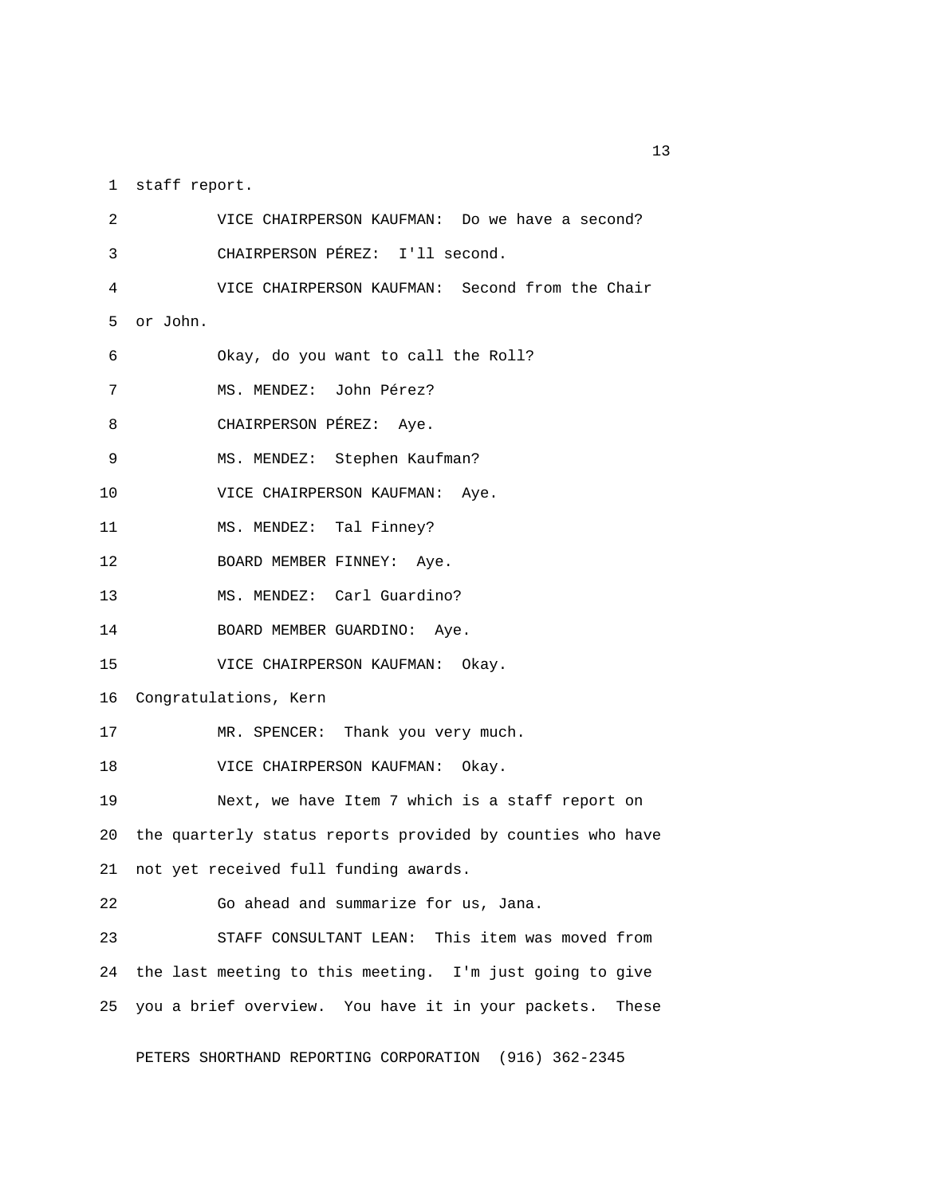1 staff report.

 2 VICE CHAIRPERSON KAUFMAN: Do we have a second? 3 CHAIRPERSON PÉREZ: I'll second. 4 VICE CHAIRPERSON KAUFMAN: Second from the Chair 5 or John. 6 Okay, do you want to call the Roll? 7 MS. MENDEZ: John Pérez? 8 CHAIRPERSON PÉREZ: Aye. 9 MS. MENDEZ: Stephen Kaufman? 10 VICE CHAIRPERSON KAUFMAN: Aye. 11 MS. MENDEZ: Tal Finney? 12 BOARD MEMBER FINNEY: Aye. 13 MS. MENDEZ: Carl Guardino? 14 BOARD MEMBER GUARDINO: Aye. 15 VICE CHAIRPERSON KAUFMAN: Okay. 16 Congratulations, Kern 17 MR. SPENCER: Thank you very much. 18 VICE CHAIRPERSON KAUFMAN: Okay. 19 Next, we have Item 7 which is a staff report on 20 the quarterly status reports provided by counties who have 21 not yet received full funding awards. 22 Go ahead and summarize for us, Jana. 23 STAFF CONSULTANT LEAN: This item was moved from 24 the last meeting to this meeting. I'm just going to give 25 you a brief overview. You have it in your packets. These

PETERS SHORTHAND REPORTING CORPORATION (916) 362-2345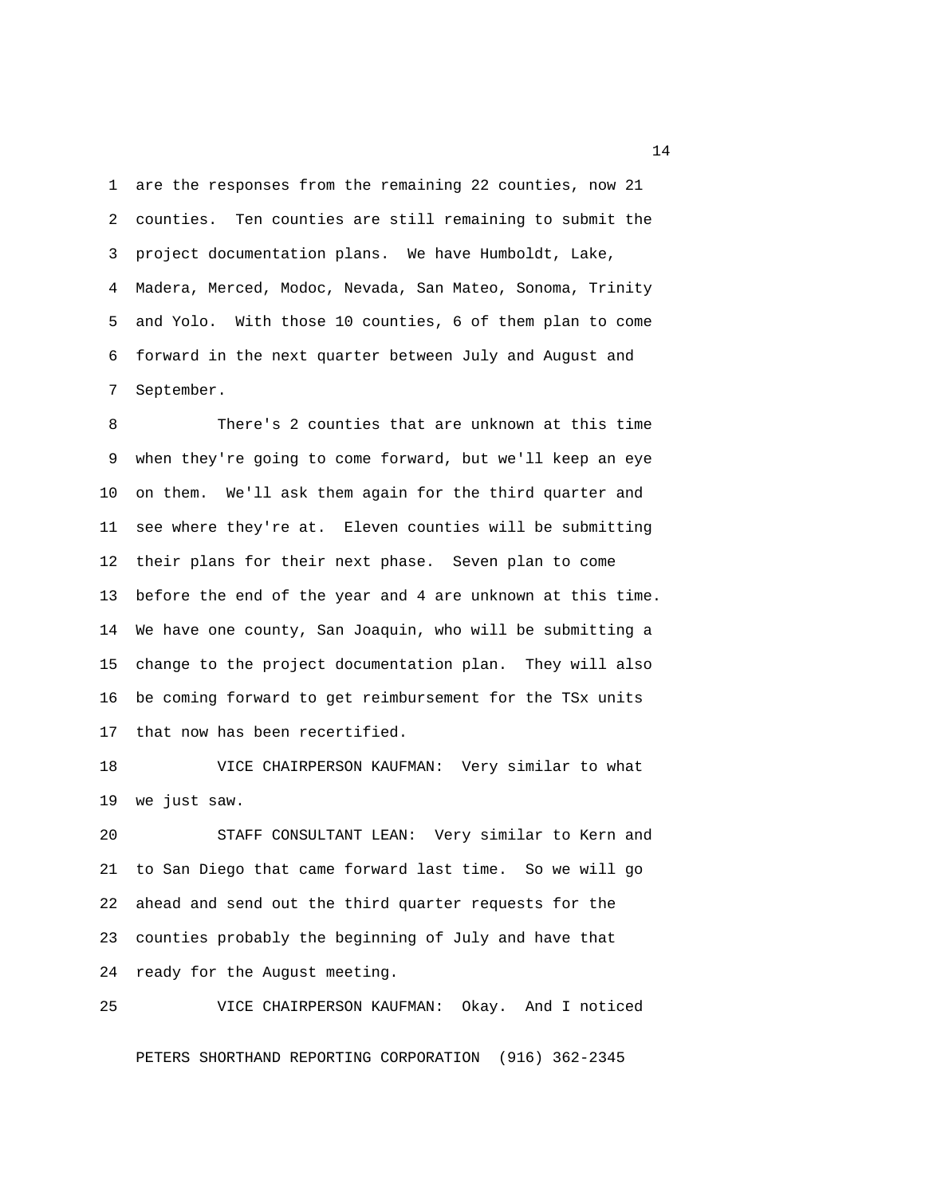1 are the responses from the remaining 22 counties, now 21 2 counties. Ten counties are still remaining to submit the 3 project documentation plans. We have Humboldt, Lake, 4 Madera, Merced, Modoc, Nevada, San Mateo, Sonoma, Trinity 5 and Yolo. With those 10 counties, 6 of them plan to come 6 forward in the next quarter between July and August and 7 September.

 8 There's 2 counties that are unknown at this time 9 when they're going to come forward, but we'll keep an eye 10 on them. We'll ask them again for the third quarter and 11 see where they're at. Eleven counties will be submitting 12 their plans for their next phase. Seven plan to come 13 before the end of the year and 4 are unknown at this time. 14 We have one county, San Joaquin, who will be submitting a 15 change to the project documentation plan. They will also 16 be coming forward to get reimbursement for the TSx units 17 that now has been recertified.

18 VICE CHAIRPERSON KAUFMAN: Very similar to what 19 we just saw.

20 STAFF CONSULTANT LEAN: Very similar to Kern and 21 to San Diego that came forward last time. So we will go 22 ahead and send out the third quarter requests for the 23 counties probably the beginning of July and have that 24 ready for the August meeting.

25 VICE CHAIRPERSON KAUFMAN: Okay. And I noticed

PETERS SHORTHAND REPORTING CORPORATION (916) 362-2345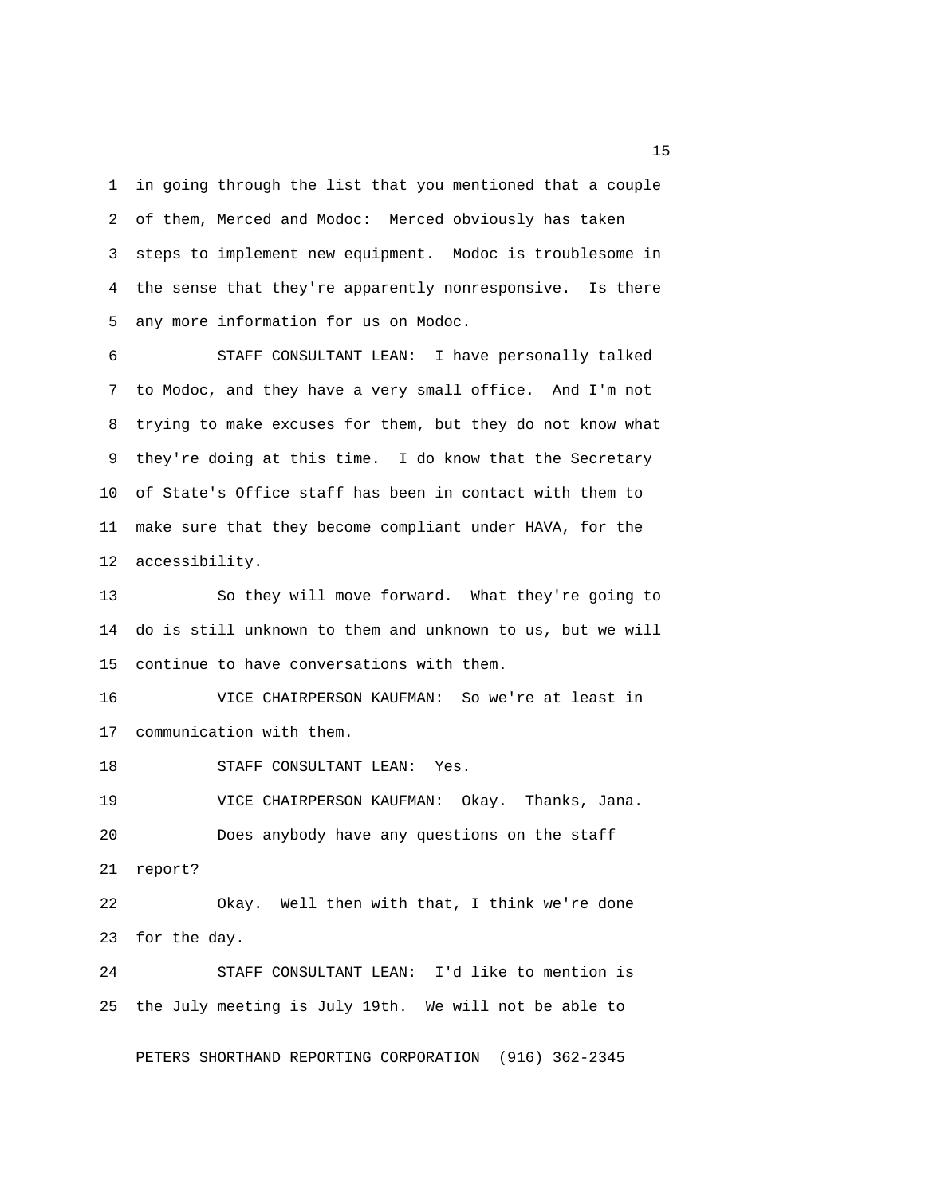1 in going through the list that you mentioned that a couple 2 of them, Merced and Modoc: Merced obviously has taken 3 steps to implement new equipment. Modoc is troublesome in 4 the sense that they're apparently nonresponsive. Is there 5 any more information for us on Modoc.

 6 STAFF CONSULTANT LEAN: I have personally talked 7 to Modoc, and they have a very small office. And I'm not 8 trying to make excuses for them, but they do not know what 9 they're doing at this time. I do know that the Secretary 10 of State's Office staff has been in contact with them to 11 make sure that they become compliant under HAVA, for the 12 accessibility.

13 So they will move forward. What they're going to 14 do is still unknown to them and unknown to us, but we will 15 continue to have conversations with them.

16 VICE CHAIRPERSON KAUFMAN: So we're at least in 17 communication with them.

18 STAFF CONSULTANT LEAN: Yes.

19 VICE CHAIRPERSON KAUFMAN: Okay. Thanks, Jana. 20 Does anybody have any questions on the staff

21 report?

22 Okay. Well then with that, I think we're done 23 for the day.

24 STAFF CONSULTANT LEAN: I'd like to mention is 25 the July meeting is July 19th. We will not be able to

PETERS SHORTHAND REPORTING CORPORATION (916) 362-2345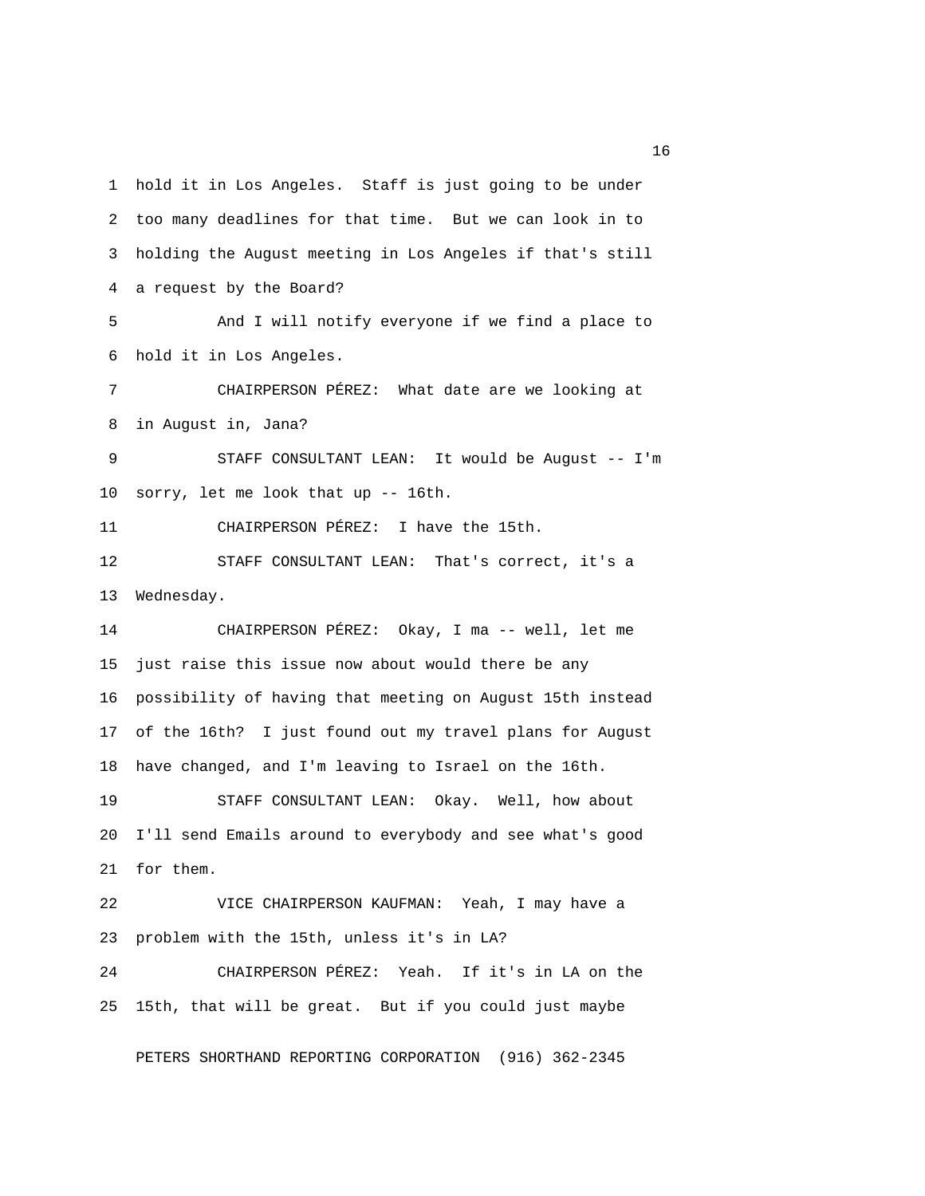1 hold it in Los Angeles. Staff is just going to be under 2 too many deadlines for that time. But we can look in to 3 holding the August meeting in Los Angeles if that's still 4 a request by the Board? 5 And I will notify everyone if we find a place to 6 hold it in Los Angeles. 7 CHAIRPERSON PÉREZ: What date are we looking at 8 in August in, Jana? 9 STAFF CONSULTANT LEAN: It would be August -- I'm 10 sorry, let me look that up -- 16th. 11 CHAIRPERSON PÉREZ: I have the 15th. 12 STAFF CONSULTANT LEAN: That's correct, it's a 13 Wednesday. 14 CHAIRPERSON PÉREZ: Okay, I ma -- well, let me 15 just raise this issue now about would there be any 16 possibility of having that meeting on August 15th instead 17 of the 16th? I just found out my travel plans for August 18 have changed, and I'm leaving to Israel on the 16th. 19 STAFF CONSULTANT LEAN: Okay. Well, how about 20 I'll send Emails around to everybody and see what's good 21 for them. 22 VICE CHAIRPERSON KAUFMAN: Yeah, I may have a 23 problem with the 15th, unless it's in LA? 24 CHAIRPERSON PÉREZ: Yeah. If it's in LA on the 25 15th, that will be great. But if you could just maybe

PETERS SHORTHAND REPORTING CORPORATION (916) 362-2345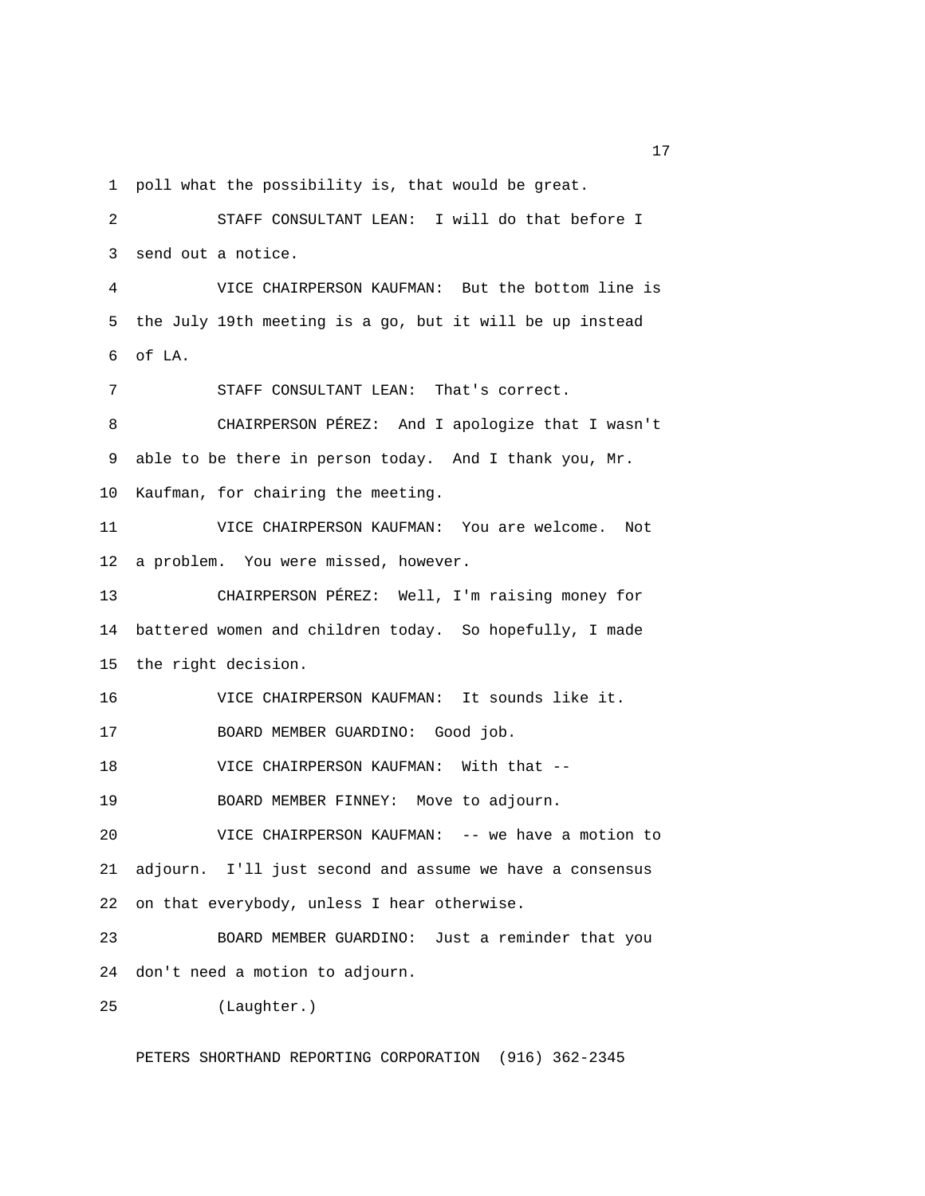1 poll what the possibility is, that would be great.

 2 STAFF CONSULTANT LEAN: I will do that before I 3 send out a notice. 4 VICE CHAIRPERSON KAUFMAN: But the bottom line is 5 the July 19th meeting is a go, but it will be up instead 6 of LA. 7 STAFF CONSULTANT LEAN: That's correct. 8 CHAIRPERSON PÉREZ: And I apologize that I wasn't 9 able to be there in person today. And I thank you, Mr. 10 Kaufman, for chairing the meeting. 11 VICE CHAIRPERSON KAUFMAN: You are welcome. Not 12 a problem. You were missed, however. 13 CHAIRPERSON PÉREZ: Well, I'm raising money for 14 battered women and children today. So hopefully, I made 15 the right decision. 16 VICE CHAIRPERSON KAUFMAN: It sounds like it. 17 BOARD MEMBER GUARDINO: Good job. 18 VICE CHAIRPERSON KAUFMAN: With that -- 19 BOARD MEMBER FINNEY: Move to adjourn. 20 VICE CHAIRPERSON KAUFMAN: -- we have a motion to 21 adjourn. I'll just second and assume we have a consensus 22 on that everybody, unless I hear otherwise. 23 BOARD MEMBER GUARDINO: Just a reminder that you 24 don't need a motion to adjourn. 25 (Laughter.)

PETERS SHORTHAND REPORTING CORPORATION (916) 362-2345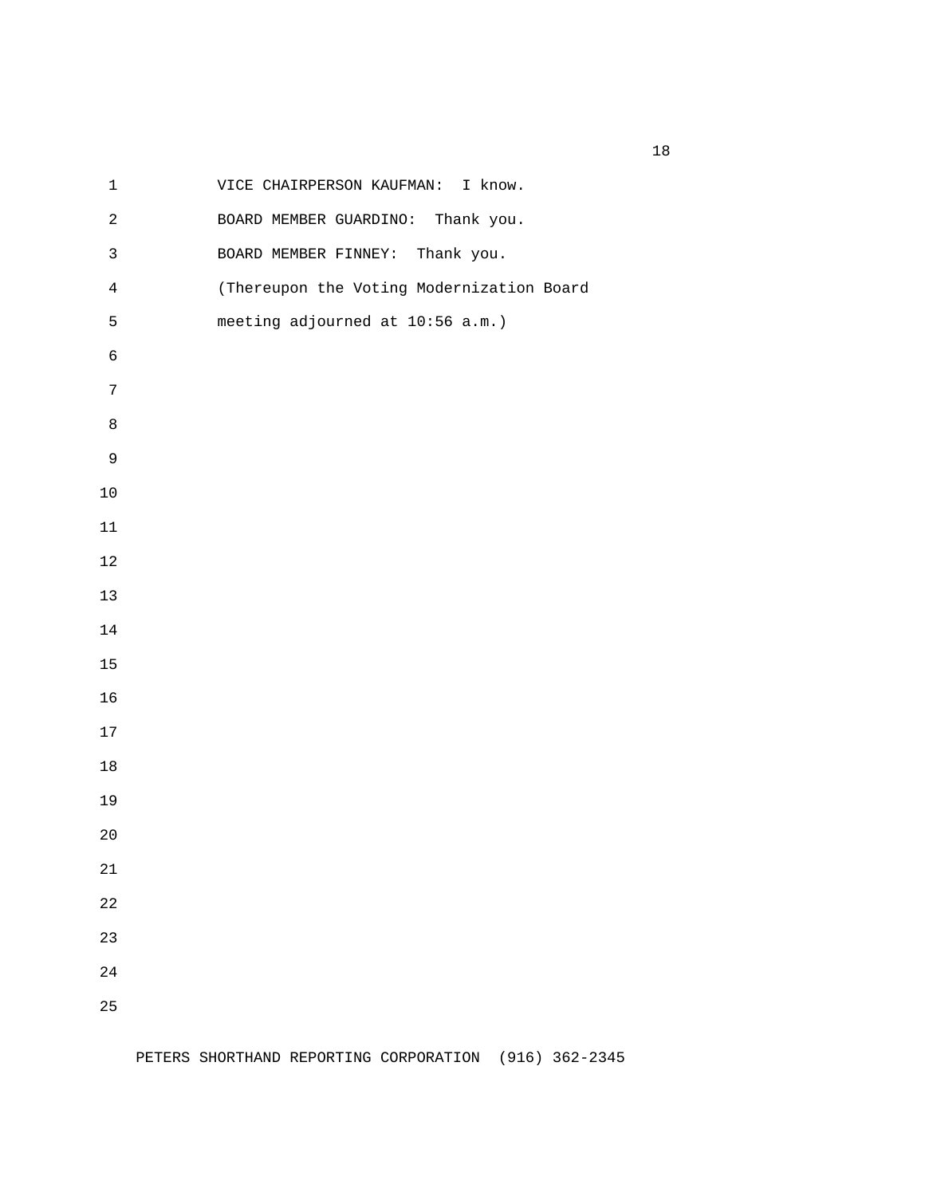| $\mathbf 1$    | VICE CHAIRPERSON KAUFMAN: I know.         |
|----------------|-------------------------------------------|
| $\sqrt{2}$     | BOARD MEMBER GUARDINO: Thank you.         |
| $\mathsf 3$    | BOARD MEMBER FINNEY: Thank you.           |
| $\overline{4}$ | (Thereupon the Voting Modernization Board |
| $\mathsf S$    | meeting adjourned at 10:56 a.m.)          |
| $\epsilon$     |                                           |
| $\sqrt{ }$     |                                           |
| $\,8\,$        |                                           |
| $\mathsf 9$    |                                           |
| $10$           |                                           |
| $11\,$         |                                           |
| $12$           |                                           |
| $13$           |                                           |
| $14$           |                                           |
| 15             |                                           |
| 16             |                                           |
| $17\,$         |                                           |
| $18\,$         |                                           |
| 19             |                                           |
| $20$           |                                           |
| 21             |                                           |
| 22             |                                           |
| 23             |                                           |
| 24             |                                           |
| 25             |                                           |